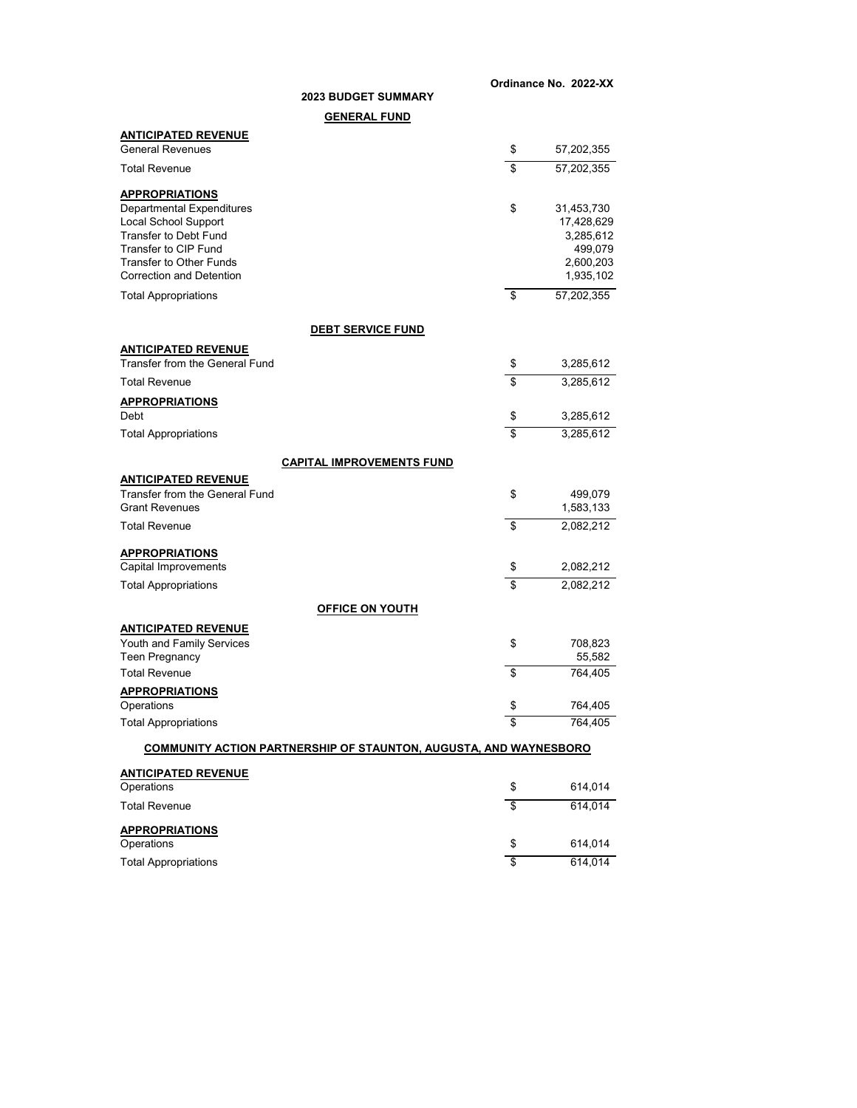**ANTICIPATED REVENUE** General Revenues \$ 57,202,355 Total Revenue  $$57,202,355$ **APPROPRIATIONS** Departmental Expenditures \$ 31,453,730 Local School Support 17,428,629<br>Transfer to Debt Fund 17,428,629<br>3.285.612 Transfer to Debt Fund 3,285,612<br>Transfer to CIP Fund 3,285,612 Transfer to CIP Fund<br>Transfer to Other Funds that the control of the control of the control of the control of the control of the control of the control of the control of the control of the control of the control of the con Transfer to Other Funds 2,600,203<br>
Correction and Detention 2,935,102<br>
2,935,102 Correction and Detention Total Appropriations **1996** 1202,355 **57,202,355 ANTICIPATED REVENUE** Transfer from the General Fund **the Secondal Strandard Control Control Control Control Control Control Control Control Control Control Control Control Control Control Control Control Control Control Control Control Control**  $\textsf{Total Revenue} \quad \texttt{\$} \quad \texttt{3,285,612}$ **APPROPRIATIONS**  ${\sf Debt}$  3,285,612 Total Appropriations **1996** 3,285,612 **ANTICIPATED REVENUE** Transfer from the General Fund  $\frac{1}{3}$  499,079<br>Grant Revenues 1,583,133 Grant Revenues 1,583,133 Total Revenue  $\overline{\text{S}}$  2,082,212 **APPROPRIATIONS**  $\textsf{Capital}\ \textsf{Im}$ provements  $\textsf{2,082,212}$ Total Appropriations \$ 2,082,212 **ANTICIPATED REVENUE** Youth and Family Services \$ 708,823<br>Teen Pregnancy \$ 708,823 Teen Pregnancy Total Revenue \$ 764,405 **APPROPRIATIONS** Operations \$ 764,405 Total Appropriations  $\frac{}{\sqrt[3]{3}}$ **ANTICIPATED REVENUE**  $\sigma$   $\sim$  614,014  $\sigma$ Total Revenue **\$ 614,014 APPROPRIATIONS** Operations \$ 614,014 **OFFICE ON YOUTH COMMUNITY ACTION PARTNERSHIP OF STAUNTON, AUGUSTA, AND WAYNESBORO CAPITAL IMPROVEMENTS FUND 2023 BUDGET SUMMARY GENERAL FUND DEBT SERVICE FUND**

**Ordinance No. 2022-XX**

Total Appropriations 614,014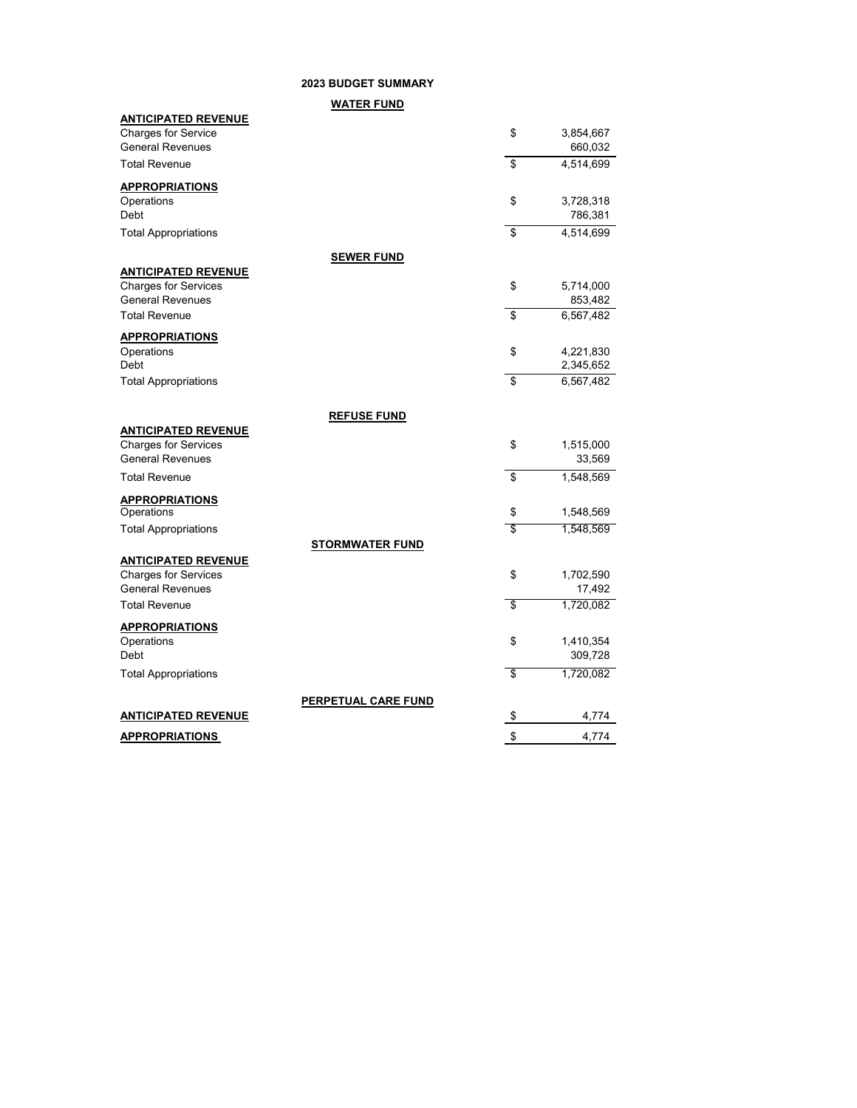**2023 BUDGET SUMMARY**

**WATER FUND**

| <b>ANTICIPATED REVENUE</b>                             |                            |                        |
|--------------------------------------------------------|----------------------------|------------------------|
| <b>Charges for Service</b><br><b>General Revenues</b>  | \$                         | 3,854,667<br>660,032   |
| <b>Total Revenue</b>                                   | \$                         | 4,514,699              |
| <b>APPROPRIATIONS</b>                                  |                            |                        |
| Operations<br>Debt                                     | \$                         | 3,728,318<br>786,381   |
| <b>Total Appropriations</b>                            | \$                         | 4,514,699              |
|                                                        | <b>SEWER FUND</b>          |                        |
| <b>ANTICIPATED REVENUE</b>                             |                            |                        |
| <b>Charges for Services</b><br><b>General Revenues</b> | \$                         | 5,714,000<br>853,482   |
| <b>Total Revenue</b>                                   | \$                         | 6,567,482              |
| <b>APPROPRIATIONS</b>                                  |                            |                        |
| Operations                                             | \$                         | 4,221,830              |
| Debt<br><b>Total Appropriations</b>                    | \$                         | 2,345,652<br>6,567,482 |
|                                                        |                            |                        |
|                                                        | <b>REFUSE FUND</b>         |                        |
| <b>ANTICIPATED REVENUE</b>                             |                            |                        |
| <b>Charges for Services</b>                            | \$                         | 1,515,000              |
| <b>General Revenues</b>                                |                            | 33,569                 |
| <b>Total Revenue</b>                                   | \$                         | 1,548,569              |
| <b>APPROPRIATIONS</b>                                  |                            |                        |
| Operations                                             | \$                         | 1,548,569              |
| <b>Total Appropriations</b>                            | \$                         | 1,548,569              |
| <b>ANTICIPATED REVENUE</b>                             | <b>STORMWATER FUND</b>     |                        |
| <b>Charges for Services</b>                            | \$                         | 1,702,590              |
| <b>General Revenues</b>                                |                            | 17,492                 |
| <b>Total Revenue</b>                                   | \$                         | 1,720,082              |
| <b>APPROPRIATIONS</b>                                  |                            |                        |
| Operations                                             | \$                         | 1,410,354              |
| Debt                                                   |                            | 309,728                |
| <b>Total Appropriations</b>                            | \$                         | 1,720,082              |
|                                                        | <b>PERPETUAL CARE FUND</b> |                        |
| <b>ANTICIPATED REVENUE</b>                             | \$                         | 4,774                  |
| <b>APPROPRIATIONS</b>                                  | \$                         | 4,774                  |